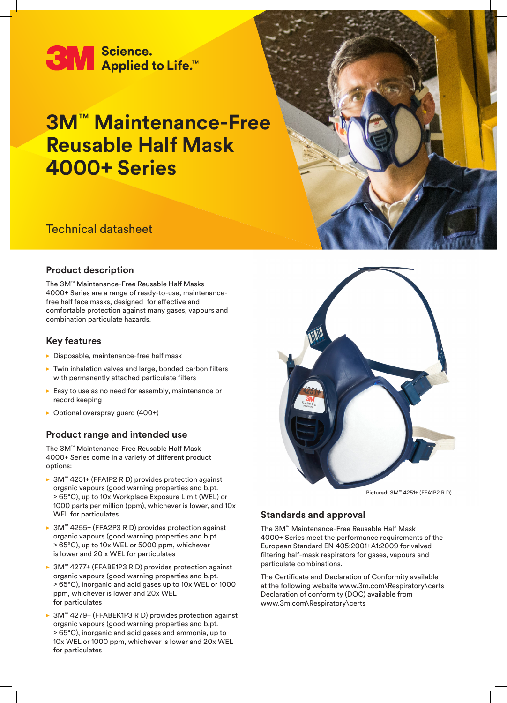

# **3M**™ **Maintenance-Free Reusable Half Mask 4000+ Series**



## **Product description**

The 3M™ Maintenance-Free Reusable Half Masks 4000+ Series are a range of ready-to-use, maintenancefree half face masks, designed for effective and comfortable protection against many gases, vapours and combination particulate hazards.

### **Key features**

- $\blacktriangleright$  Disposable, maintenance-free half mask
- $\blacktriangleright$  Twin inhalation valves and large, bonded carbon filters with permanently attached particulate filters
- $\blacktriangleright$  Easy to use as no need for assembly, maintenance or record keeping
- $\triangleright$  Optional overspray guard (400+)

## **Product range and intended use**

The 3M™ Maintenance-Free Reusable Half Mask 4000+ Series come in a variety of different product options:

- ▶ 3M™ 4251+ (FFA1P2 R D) provides protection against organic vapours (good warning properties and b.pt. > 65°C), up to 10x Workplace Exposure Limit (WEL) or 1000 parts per million (ppm), whichever is lower, and 10x WEL for particulates
- ▶ 3M™ 4255+ (FFA2P3 R D) provides protection against organic vapours (good warning properties and b.pt. > 65°C), up to 10x WEL or 5000 ppm, whichever is lower and 20 x WEL for particulates
- ► 3M™ 4277+ (FFABE1P3 R D) provides protection against organic vapours (good warning properties and b.pt. > 65°C), inorganic and acid gases up to 10x WEL or 1000 ppm, whichever is lower and 20x WEL for particulates
- ▶ 3M™ 4279+ (FFABEK1P3 R D) provides protection against organic vapours (good warning properties and b.pt. > 65°C), inorganic and acid gases and ammonia, up to 10x WEL or 1000 ppm, whichever is lower and 20x WEL for particulates



#### Pictured: 3M™ 4251+ (FFA1P2 R D)

## **Standards and approval**

The 3M™ Maintenance-Free Reusable Half Mask 4000+ Series meet the performance requirements of the European Standard EN 405:2001+A1:2009 for valved filtering half-mask respirators for gases, vapours and particulate combinations.

The Certificate and Declaration of Conformity available at the following website www.3m.com\Respiratory\certs Declaration of conformity (DOC) available from www.3m.com\Respiratory\certs